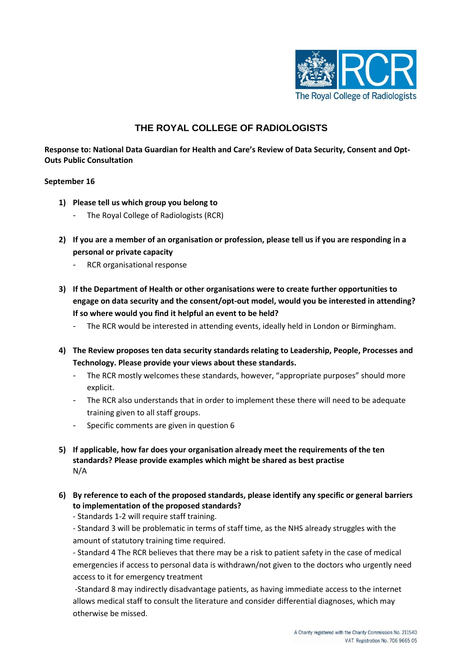

## **THE ROYAL COLLEGE OF RADIOLOGISTS**

**Response to: National Data Guardian for Health and Care's Review of Data Security, Consent and Opt-Outs Public Consultation**

## **September 16**

- **1) Please tell us which group you belong to**
	- The Royal College of Radiologists (RCR)
- **2) If you are a member of an organisation or profession, please tell us if you are responding in a personal or private capacity**
	- RCR organisational response
- **3) If the Department of Health or other organisations were to create further opportunities to engage on data security and the consent/opt-out model, would you be interested in attending? If so where would you find it helpful an event to be held?**
	- The RCR would be interested in attending events, ideally held in London or Birmingham.
- **4) The Review proposes ten data security standards relating to Leadership, People, Processes and Technology. Please provide your views about these standards.**
	- The RCR mostly welcomes these standards, however, "appropriate purposes" should more explicit.
	- The RCR also understands that in order to implement these there will need to be adequate training given to all staff groups.
	- Specific comments are given in question 6
- **5) If applicable, how far does your organisation already meet the requirements of the ten standards? Please provide examples which might be shared as best practise**  N/A
- **6) By reference to each of the proposed standards, please identify any specific or general barriers to implementation of the proposed standards?**

- Standards 1-2 will require staff training.

- Standard 3 will be problematic in terms of staff time, as the NHS already struggles with the amount of statutory training time required.

- Standard 4 The RCR believes that there may be a risk to patient safety in the case of medical emergencies if access to personal data is withdrawn/not given to the doctors who urgently need access to it for emergency treatment

-Standard 8 may indirectly disadvantage patients, as having immediate access to the internet allows medical staff to consult the literature and consider differential diagnoses, which may otherwise be missed.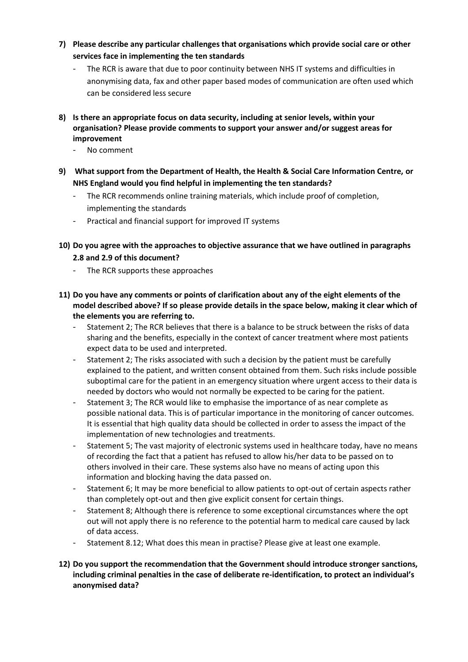- **7) Please describe any particular challenges that organisations which provide social care or other services face in implementing the ten standards** 
	- The RCR is aware that due to poor continuity between NHS IT systems and difficulties in anonymising data, fax and other paper based modes of communication are often used which can be considered less secure
- **8) Is there an appropriate focus on data security, including at senior levels, within your organisation? Please provide comments to support your answer and/or suggest areas for improvement**
	- No comment
- **9) What support from the Department of Health, the Health & Social Care Information Centre, or NHS England would you find helpful in implementing the ten standards?**
	- The RCR recommends online training materials, which include proof of completion, implementing the standards
	- Practical and financial support for improved IT systems
- **10) Do you agree with the approaches to objective assurance that we have outlined in paragraphs 2.8 and 2.9 of this document?**
	- The RCR supports these approaches
- **11) Do you have any comments or points of clarification about any of the eight elements of the model described above? If so please provide details in the space below, making it clear which of the elements you are referring to.**
	- Statement 2; The RCR believes that there is a balance to be struck between the risks of data sharing and the benefits, especially in the context of cancer treatment where most patients expect data to be used and interpreted.
	- Statement 2; The risks associated with such a decision by the patient must be carefully explained to the patient, and written consent obtained from them. Such risks include possible suboptimal care for the patient in an emergency situation where urgent access to their data is needed by doctors who would not normally be expected to be caring for the patient.
	- Statement 3; The RCR would like to emphasise the importance of as near complete as possible national data. This is of particular importance in the monitoring of cancer outcomes. It is essential that high quality data should be collected in order to assess the impact of the implementation of new technologies and treatments.
	- Statement 5; The vast majority of electronic systems used in healthcare today, have no means of recording the fact that a patient has refused to allow his/her data to be passed on to others involved in their care. These systems also have no means of acting upon this information and blocking having the data passed on.
	- Statement 6; It may be more beneficial to allow patients to opt-out of certain aspects rather than completely opt-out and then give explicit consent for certain things.
	- Statement 8; Although there is reference to some exceptional circumstances where the opt out will not apply there is no reference to the potential harm to medical care caused by lack of data access.
	- Statement 8.12; What does this mean in practise? Please give at least one example.
- **12) Do you support the recommendation that the Government should introduce stronger sanctions, including criminal penalties in the case of deliberate re-identification, to protect an individual's anonymised data?**